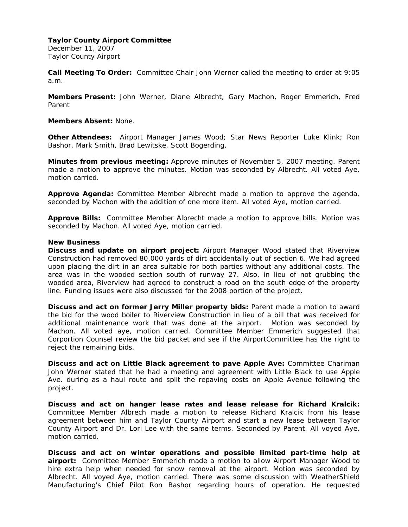December 11, 2007 Taylor County Airport

**Call Meeting To Order:** Committee Chair John Werner called the meeting to order at 9:05 a.m.

**Members Present:** John Werner, Diane Albrecht, Gary Machon, Roger Emmerich, Fred Parent

## **Members Absent:** None.

**Other Attendees:** Airport Manager James Wood; Star News Reporter Luke Klink; Ron Bashor, Mark Smith, Brad Lewitske, Scott Bogerding.

**Minutes from previous meeting:** Approve minutes of November 5, 2007 meeting. Parent made a motion to approve the minutes. Motion was seconded by Albrecht. All voted Aye, motion carried.

**Approve Agenda:** Committee Member Albrecht made a motion to approve the agenda, seconded by Machon with the addition of one more item. All voted Aye, motion carried.

**Approve Bills:** Committee Member Albrecht made a motion to approve bills. Motion was seconded by Machon. All voted Aye, motion carried.

#### **New Business**

**Discuss and update on airport project:** Airport Manager Wood stated that Riverview Construction had removed 80,000 yards of dirt accidentally out of section 6. We had agreed upon placing the dirt in an area suitable for both parties without any additional costs. The area was in the wooded section south of runway 27. Also, in lieu of not grubbing the wooded area, Riverview had agreed to construct a road on the south edge of the property line. Funding issues were also discussed for the 2008 portion of the project.

**Discuss and act on former Jerry Miller property bids:** Parent made a motion to award the bid for the wood boiler to Riverview Construction in lieu of a bill that was received for additional maintenance work that was done at the airport. Motion was seconded by Machon. All voted aye, motion carried. Committee Member Emmerich suggested that Corportion Counsel review the bid packet and see if the AirportCommittee has the right to reject the remaining bids.

**Discuss and act on Little Black agreement to pave Apple Ave:** Committee Chariman John Werner stated that he had a meeting and agreement with Little Black to use Apple Ave. during as a haul route and split the repaving costs on Apple Avenue following the project.

**Discuss and act on hanger lease rates and lease release for Richard Kralcik:**  Committee Member Albrech made a motion to release Richard Kralcik from his lease agreement between him and Taylor County Airport and start a new lease between Taylor County Airport and Dr. Lori Lee with the same terms. Seconded by Parent. All voyed Aye, motion carried.

**Discuss and act on winter operations and possible limited part-time help at airport:** Committee Member Emmerich made a motion to allow Airport Manager Wood to hire extra help when needed for snow removal at the airport. Motion was seconded by Albrecht. All voyed Aye, motion carried. There was some discussion with WeatherShield Manufacturing's Chief Pilot Ron Bashor regarding hours of operation. He requested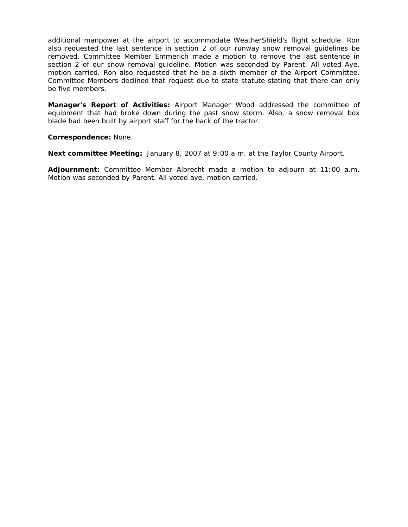additional manpower at the airport to accommodate WeatherShield's flight schedule. Ron also requested the last sentence in section 2 of our runway snow removal guidelines be removed. Committee Member Emmerich made a motion to remove the last sentence in section 2 of our snow removal guideline. Motion was seconded by Parent. All voted Aye, motion carried. Ron also requested that he be a sixth member of the Airport Committee. Committee Members declined that request due to state statute stating that there can only be five members.

**Manager's Report of Activities:** Airport Manager Wood addressed the committee of equipment that had broke down during the past snow storm. Also, a snow removal box blade had been built by airport staff for the back of the tractor.

**Correspondence:** None.

**Next committee Meeting:** January 8, 2007 at 9:00 a.m. at the Taylor County Airport.

**Adjournment:** Committee Member Albrecht made a motion to adjourn at 11:00 a.m. Motion was seconded by Parent. All voted aye, motion carried.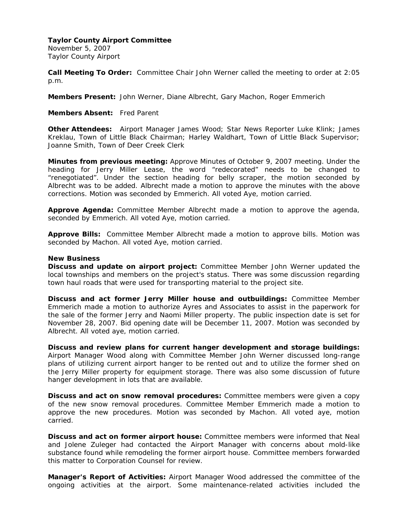November 5, 2007 Taylor County Airport

**Call Meeting To Order:** Committee Chair John Werner called the meeting to order at 2:05 p.m.

**Members Present:** John Werner, Diane Albrecht, Gary Machon, Roger Emmerich

**Members Absent:** Fred Parent

**Other Attendees:** Airport Manager James Wood; Star News Reporter Luke Klink; James Kreklau, Town of Little Black Chairman; Harley Waldhart, Town of Little Black Supervisor; Joanne Smith, Town of Deer Creek Clerk

**Minutes from previous meeting:** Approve Minutes of October 9, 2007 meeting. Under the heading for Jerry Miller Lease, the word "redecorated" needs to be changed to "renegotiated". Under the section heading for belly scraper, the motion seconded by Albrecht was to be added. Albrecht made a motion to approve the minutes with the above corrections. Motion was seconded by Emmerich. All voted Aye, motion carried.

**Approve Agenda:** Committee Member Albrecht made a motion to approve the agenda, seconded by Emmerich. All voted Aye, motion carried.

**Approve Bills:** Committee Member Albrecht made a motion to approve bills. Motion was seconded by Machon. All voted Aye, motion carried.

## **New Business**

**Discuss and update on airport project:** Committee Member John Werner updated the local townships and members on the project's status. There was some discussion regarding town haul roads that were used for transporting material to the project site.

**Discuss and act former Jerry Miller house and outbuildings:** Committee Member Emmerich made a motion to authorize Ayres and Associates to assist in the paperwork for the sale of the former Jerry and Naomi Miller property. The public inspection date is set for November 28, 2007. Bid opening date will be December 11, 2007. Motion was seconded by Albrecht. All voted aye, motion carried.

**Discuss and review plans for current hanger development and storage buildings:**  Airport Manager Wood along with Committee Member John Werner discussed long-range plans of utilizing current airport hanger to be rented out and to utilize the former shed on the Jerry Miller property for equipment storage. There was also some discussion of future hanger development in lots that are available.

**Discuss and act on snow removal procedures:** Committee members were given a copy of the new snow removal procedures. Committee Member Emmerich made a motion to approve the new procedures. Motion was seconded by Machon. All voted aye, motion carried.

**Discuss and act on former airport house:** Committee members were informed that Neal and Jolene Zuleger had contacted the Airport Manager with concerns about mold-like substance found while remodeling the former airport house. Committee members forwarded this matter to Corporation Counsel for review.

**Manager's Report of Activities:** Airport Manager Wood addressed the committee of the ongoing activities at the airport. Some maintenance-related activities included the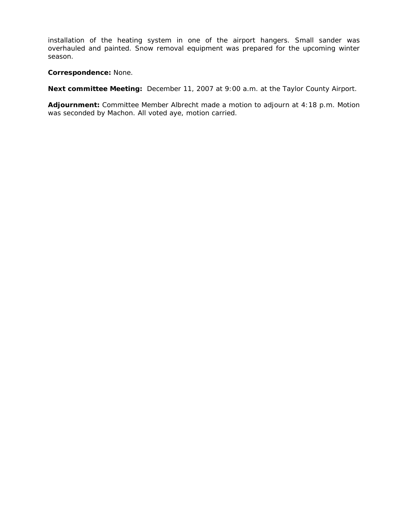installation of the heating system in one of the airport hangers. Small sander was overhauled and painted. Snow removal equipment was prepared for the upcoming winter season.

**Correspondence:** None.

**Next committee Meeting:** December 11, 2007 at 9:00 a.m. at the Taylor County Airport.

**Adjournment:** Committee Member Albrecht made a motion to adjourn at 4:18 p.m. Motion was seconded by Machon. All voted aye, motion carried.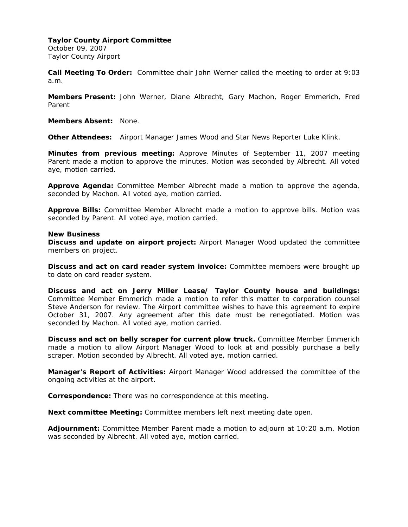October 09, 2007 Taylor County Airport

**Call Meeting To Order:** Committee chair John Werner called the meeting to order at 9:03 a.m.

**Members Present:** John Werner, Diane Albrecht, Gary Machon, Roger Emmerich, Fred Parent

**Members Absent:** None.

**Other Attendees:** Airport Manager James Wood and Star News Reporter Luke Klink.

**Minutes from previous meeting:** Approve Minutes of September 11, 2007 meeting Parent made a motion to approve the minutes. Motion was seconded by Albrecht. All voted aye, motion carried.

**Approve Agenda:** Committee Member Albrecht made a motion to approve the agenda, seconded by Machon. All voted aye, motion carried.

**Approve Bills:** Committee Member Albrecht made a motion to approve bills. Motion was seconded by Parent. All voted aye, motion carried.

#### **New Business**

**Discuss and update on airport project:** Airport Manager Wood updated the committee members on project.

**Discuss and act on card reader system invoice:** Committee members were brought up to date on card reader system.

**Discuss and act on Jerry Miller Lease/ Taylor County house and buildings:**  Committee Member Emmerich made a motion to refer this matter to corporation counsel Steve Anderson for review. The Airport committee wishes to have this agreement to expire October 31, 2007. Any agreement after this date must be renegotiated. Motion was seconded by Machon. All voted aye, motion carried.

**Discuss and act on belly scraper for current plow truck.** Committee Member Emmerich made a motion to allow Airport Manager Wood to look at and possibly purchase a belly scraper. Motion seconded by Albrecht. All voted aye, motion carried.

**Manager's Report of Activities:** Airport Manager Wood addressed the committee of the ongoing activities at the airport.

**Correspondence:** There was no correspondence at this meeting.

**Next committee Meeting:** Committee members left next meeting date open.

**Adjournment:** Committee Member Parent made a motion to adjourn at 10:20 a.m. Motion was seconded by Albrecht. All voted aye, motion carried.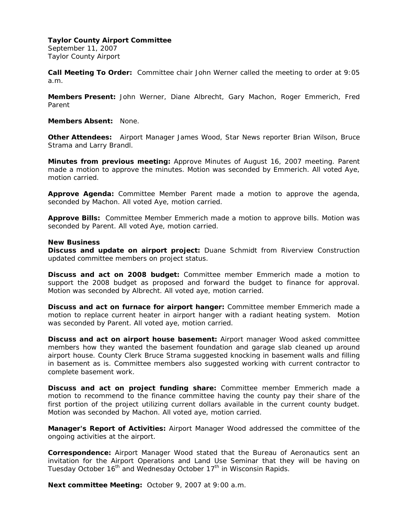September 11, 2007 Taylor County Airport

**Call Meeting To Order:** Committee chair John Werner called the meeting to order at 9:05 a.m.

**Members Present:** John Werner, Diane Albrecht, Gary Machon, Roger Emmerich, Fred Parent

**Members Absent:** None.

**Other Attendees:** Airport Manager James Wood, Star News reporter Brian Wilson, Bruce Strama and Larry Brandl.

**Minutes from previous meeting:** Approve Minutes of August 16, 2007 meeting. Parent made a motion to approve the minutes. Motion was seconded by Emmerich. All voted Aye, motion carried.

**Approve Agenda:** Committee Member Parent made a motion to approve the agenda, seconded by Machon. All voted Aye, motion carried.

**Approve Bills:** Committee Member Emmerich made a motion to approve bills. Motion was seconded by Parent. All voted Aye, motion carried.

#### **New Business**

**Discuss and update on airport project:** Duane Schmidt from Riverview Construction updated committee members on project status.

**Discuss and act on 2008 budget:** Committee member Emmerich made a motion to support the 2008 budget as proposed and forward the budget to finance for approval. Motion was seconded by Albrecht. All voted aye, motion carried.

**Discuss and act on furnace for airport hanger:** Committee member Emmerich made a motion to replace current heater in airport hanger with a radiant heating system. Motion was seconded by Parent. All voted aye, motion carried.

**Discuss and act on airport house basement:** Airport manager Wood asked committee members how they wanted the basement foundation and garage slab cleaned up around airport house. County Clerk Bruce Strama suggested knocking in basement walls and filling in basement as is. Committee members also suggested working with current contractor to complete basement work.

**Discuss and act on project funding share:** Committee member Emmerich made a motion to recommend to the finance committee having the county pay their share of the first portion of the project utilizing current dollars available in the current county budget. Motion was seconded by Machon. All voted aye, motion carried.

**Manager's Report of Activities:** Airport Manager Wood addressed the committee of the ongoing activities at the airport.

**Correspondence:** Airport Manager Wood stated that the Bureau of Aeronautics sent an invitation for the Airport Operations and Land Use Seminar that they will be having on Tuesday October 16<sup>th</sup> and Wednesday October 17<sup>th</sup> in Wisconsin Rapids.

**Next committee Meeting:** October 9, 2007 at 9:00 a.m.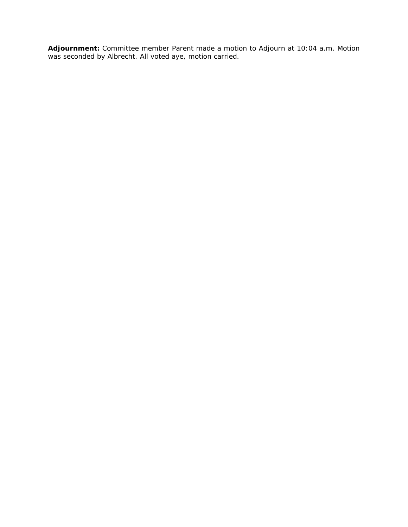**Adjournment:** Committee member Parent made a motion to Adjourn at 10:04 a.m. Motion was seconded by Albrecht. All voted aye, motion carried.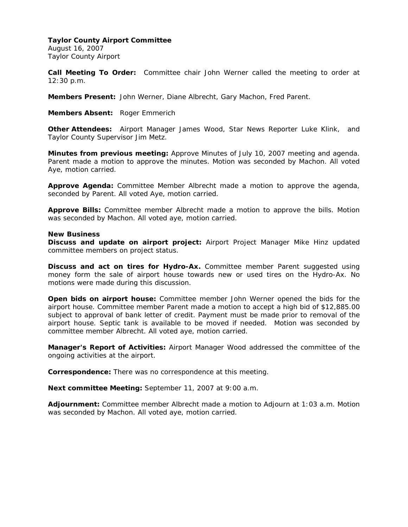August 16, 2007 Taylor County Airport

**Call Meeting To Order:** Committee chair John Werner called the meeting to order at 12:30 p.m.

**Members Present:** John Werner, Diane Albrecht, Gary Machon, Fred Parent.

**Members Absent:** Roger Emmerich

**Other Attendees:** Airport Manager James Wood, Star News Reporter Luke Klink, and Taylor County Supervisor Jim Metz.

**Minutes from previous meeting:** Approve Minutes of July 10, 2007 meeting and agenda. Parent made a motion to approve the minutes. Motion was seconded by Machon. All voted Aye, motion carried.

**Approve Agenda:** Committee Member Albrecht made a motion to approve the agenda, seconded by Parent. All voted Aye, motion carried.

**Approve Bills:** Committee member Albrecht made a motion to approve the bills. Motion was seconded by Machon. All voted aye, motion carried.

#### **New Business**

**Discuss and update on airport project:** Airport Project Manager Mike Hinz updated committee members on project status.

**Discuss and act on tires for Hydro-Ax.** Committee member Parent suggested using money form the sale of airport house towards new or used tires on the Hydro-Ax. No motions were made during this discussion.

**Open bids on airport house:** Committee member John Werner opened the bids for the airport house. Committee member Parent made a motion to accept a high bid of \$12,885.00 subject to approval of bank letter of credit. Payment must be made prior to removal of the airport house. Septic tank is available to be moved if needed. Motion was seconded by committee member Albrecht. All voted aye, motion carried.

**Manager's Report of Activities:** Airport Manager Wood addressed the committee of the ongoing activities at the airport.

**Correspondence:** There was no correspondence at this meeting.

**Next committee Meeting:** September 11, 2007 at 9:00 a.m.

**Adjournment:** Committee member Albrecht made a motion to Adjourn at 1:03 a.m. Motion was seconded by Machon. All voted aye, motion carried.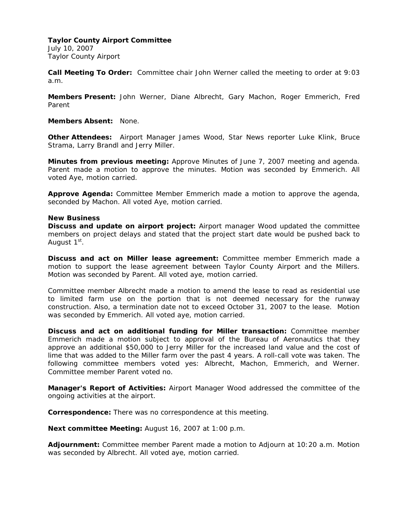July 10, 2007 Taylor County Airport

**Call Meeting To Order:** Committee chair John Werner called the meeting to order at 9:03 a.m.

**Members Present:** John Werner, Diane Albrecht, Gary Machon, Roger Emmerich, Fred Parent

**Members Absent:** None.

**Other Attendees:** Airport Manager James Wood, Star News reporter Luke Klink, Bruce Strama, Larry Brandl and Jerry Miller.

**Minutes from previous meeting:** Approve Minutes of June 7, 2007 meeting and agenda. Parent made a motion to approve the minutes. Motion was seconded by Emmerich. All voted Aye, motion carried.

**Approve Agenda:** Committee Member Emmerich made a motion to approve the agenda, seconded by Machon. All voted Aye, motion carried.

## **New Business**

**Discuss and update on airport project:** Airport manager Wood updated the committee members on project delays and stated that the project start date would be pushed back to August 1<sup>st</sup>.

**Discuss and act on Miller lease agreement:** Committee member Emmerich made a motion to support the lease agreement between Taylor County Airport and the Millers. Motion was seconded by Parent. All voted aye, motion carried.

Committee member Albrecht made a motion to amend the lease to read as residential use to limited farm use on the portion that is not deemed necessary for the runway construction. Also, a termination date not to exceed October 31, 2007 to the lease. Motion was seconded by Emmerich. All voted aye, motion carried.

**Discuss and act on additional funding for Miller transaction:** Committee member Emmerich made a motion subject to approval of the Bureau of Aeronautics that they approve an additional \$50,000 to Jerry Miller for the increased land value and the cost of lime that was added to the Miller farm over the past 4 years. A roll-call vote was taken. The following committee members voted yes: Albrecht, Machon, Emmerich, and Werner. Committee member Parent voted no.

**Manager's Report of Activities:** Airport Manager Wood addressed the committee of the ongoing activities at the airport.

**Correspondence:** There was no correspondence at this meeting.

**Next committee Meeting:** August 16, 2007 at 1:00 p.m.

**Adjournment:** Committee member Parent made a motion to Adjourn at 10:20 a.m. Motion was seconded by Albrecht. All voted aye, motion carried.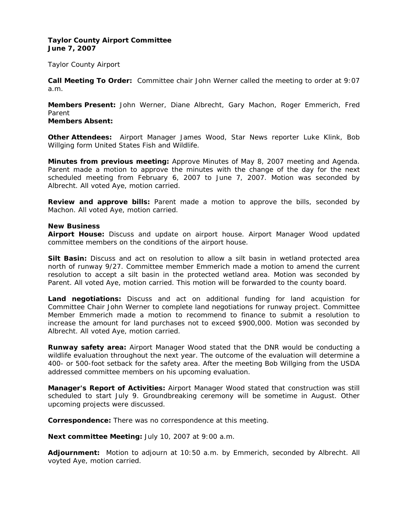## **Taylor County Airport Committee June 7, 2007**

Taylor County Airport

**Call Meeting To Order:** Committee chair John Werner called the meeting to order at 9:07 a.m.

**Members Present:** John Werner, Diane Albrecht, Gary Machon, Roger Emmerich, Fred Parent

# **Members Absent:**

**Other Attendees:** Airport Manager James Wood, Star News reporter Luke Klink, Bob Willging form United States Fish and Wildlife.

**Minutes from previous meeting:** Approve Minutes of May 8, 2007 meeting and Agenda. Parent made a motion to approve the minutes with the change of the day for the next scheduled meeting from February 6, 2007 to June 7, 2007. Motion was seconded by Albrecht. All voted Aye, motion carried.

**Review and approve bills:** Parent made a motion to approve the bills, seconded by Machon. All voted Aye, motion carried.

#### **New Business**

**Airport House:** Discuss and update on airport house. Airport Manager Wood updated committee members on the conditions of the airport house.

**Silt Basin:** Discuss and act on resolution to allow a silt basin in wetland protected area north of runway 9/27. Committee member Emmerich made a motion to amend the current resolution to accept a silt basin in the protected wetland area. Motion was seconded by Parent. All voted Aye, motion carried. This motion will be forwarded to the county board.

**Land negotiations:** Discuss and act on additional funding for land acquistion for Committee Chair John Werner to complete land negotiations for runway project. Committee Member Emmerich made a motion to recommend to finance to submit a resolution to increase the amount for land purchases not to exceed \$900,000. Motion was seconded by Albrecht. All voted Aye, motion carried.

**Runway safety area:** Airport Manager Wood stated that the DNR would be conducting a wildlife evaluation throughout the next year. The outcome of the evaluation will determine a 400- or 500-foot setback for the safety area. After the meeting Bob Willging from the USDA addressed committee members on his upcoming evaluation.

**Manager's Report of Activities:** Airport Manager Wood stated that construction was still scheduled to start July 9. Groundbreaking ceremony will be sometime in August. Other upcoming projects were discussed.

**Correspondence:** There was no correspondence at this meeting.

**Next committee Meeting:** July 10, 2007 at 9:00 a.m.

**Adjournment:** Motion to adjourn at 10:50 a.m. by Emmerich, seconded by Albrecht. All voyted Aye, motion carried.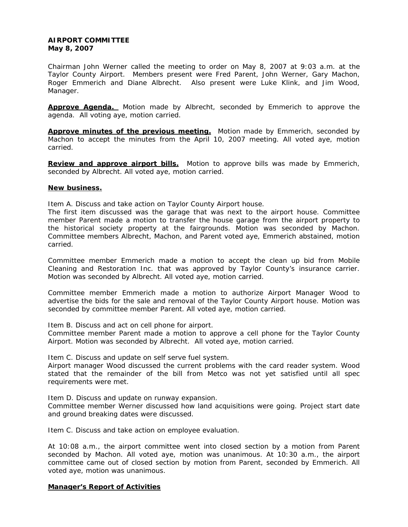# **AIRPORT COMMITTEE May 8, 2007**

Chairman John Werner called the meeting to order on May 8, 2007 at 9:03 a.m. at the Taylor County Airport. Members present were Fred Parent, John Werner, Gary Machon, Roger Emmerich and Diane Albrecht. Also present were Luke Klink, and Jim Wood, Manager.

**Approve Agenda.** Motion made by Albrecht, seconded by Emmerich to approve the agenda. All voting aye, motion carried.

Approve minutes of the previous meeting. Motion made by Emmerich, seconded by Machon to accept the minutes from the April 10, 2007 meeting. All voted aye, motion carried.

**Review and approve airport bills.** Motion to approve bills was made by Emmerich, seconded by Albrecht. All voted aye, motion carried.

## **New business.**

Item A. Discuss and take action on Taylor County Airport house.

The first item discussed was the garage that was next to the airport house. Committee member Parent made a motion to transfer the house garage from the airport property to the historical society property at the fairgrounds. Motion was seconded by Machon. Committee members Albrecht, Machon, and Parent voted aye, Emmerich abstained, motion carried.

Committee member Emmerich made a motion to accept the clean up bid from Mobile Cleaning and Restoration Inc. that was approved by Taylor County's insurance carrier. Motion was seconded by Albrecht. All voted aye, motion carried.

Committee member Emmerich made a motion to authorize Airport Manager Wood to advertise the bids for the sale and removal of the Taylor County Airport house. Motion was seconded by committee member Parent. All voted aye, motion carried.

Item B. Discuss and act on cell phone for airport.

Committee member Parent made a motion to approve a cell phone for the Taylor County Airport. Motion was seconded by Albrecht. All voted aye, motion carried.

Item C. Discuss and update on self serve fuel system.

Airport manager Wood discussed the current problems with the card reader system. Wood stated that the remainder of the bill from Metco was not yet satisfied until all spec requirements were met.

Item D. Discuss and update on runway expansion.

Committee member Werner discussed how land acquisitions were going. Project start date and ground breaking dates were discussed.

Item C. Discuss and take action on employee evaluation.

At 10:08 a.m., the airport committee went into closed section by a motion from Parent seconded by Machon. All voted aye, motion was unanimous. At 10:30 a.m., the airport committee came out of closed section by motion from Parent, seconded by Emmerich. All voted aye, motion was unanimous.

# **Manager's Report of Activities**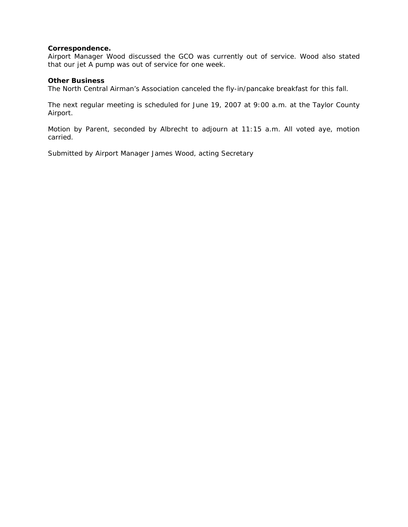## **Correspondence.**

Airport Manager Wood discussed the GCO was currently out of service. Wood also stated that our jet A pump was out of service for one week.

## **Other Business**

The North Central Airman's Association canceled the fly-in/pancake breakfast for this fall.

The next regular meeting is scheduled for June 19, 2007 at 9:00 a.m. at the Taylor County Airport.

Motion by Parent, seconded by Albrecht to adjourn at 11:15 a.m. All voted aye, motion carried.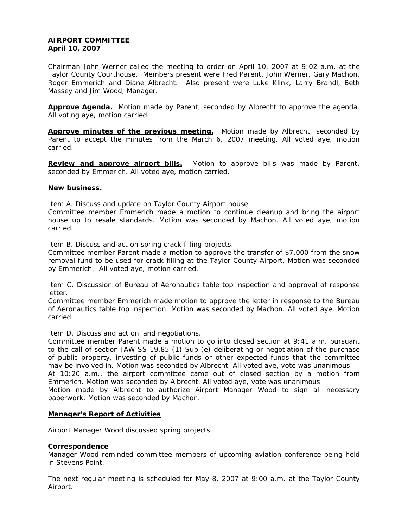## **AIRPORT COMMITTEE April 10, 2007**

Chairman John Werner called the meeting to order on April 10, 2007 at 9:02 a.m. at the Taylor County Courthouse. Members present were Fred Parent, John Werner, Gary Machon, Roger Emmerich and Diane Albrecht. Also present were Luke Klink, Larry Brandl, Beth Massey and Jim Wood, Manager.

**Approve Agenda.** Motion made by Parent, seconded by Albrecht to approve the agenda. All voting aye, motion carried.

Approve minutes of the previous meeting. Motion made by Albrecht, seconded by Parent to accept the minutes from the March 6, 2007 meeting. All voted aye, motion carried.

**Review and approve airport bills.** Motion to approve bills was made by Parent, seconded by Emmerich. All voted aye, motion carried.

## **New business.**

Item A. Discuss and update on Taylor County Airport house.

Committee member Emmerich made a motion to continue cleanup and bring the airport house up to resale standards. Motion was seconded by Machon. All voted aye, motion carried.

Item B. Discuss and act on spring crack filling projects.

Committee member Parent made a motion to approve the transfer of \$7,000 from the snow removal fund to be used for crack filling at the Taylor County Airport. Motion was seconded by Emmerich. All voted aye, motion carried.

Item C. Discussion of Bureau of Aeronautics table top inspection and approval of response letter.

Committee member Emmerich made motion to approve the letter in response to the Bureau of Aeronautics table top inspection. Motion was seconded by Machon. All voted aye, Motion carried.

Item D. Discuss and act on land negotiations.

Committee member Parent made a motion to go into closed section at 9:41 a.m. pursuant to the call of section IAW SS 19.85 (1) Sub (e) deliberating or negotiation of the purchase of public property, investing of public funds or other expected funds that the committee may be involved in. Motion was seconded by Albrecht. All voted aye, vote was unanimous.

At 10:20 a.m., the airport committee came out of closed section by a motion from Emmerich. Motion was seconded by Albrecht. All voted aye, vote was unanimous.

Motion made by Albrecht to authorize Airport Manager Wood to sign all necessary paperwork. Motion was seconded by Machon.

## **Manager's Report of Activities**

Airport Manager Wood discussed spring projects.

## **Correspondence**

Manager Wood reminded committee members of upcoming aviation conference being held in Stevens Point.

The next regular meeting is scheduled for May 8, 2007 at 9:00 a.m. at the Taylor County Airport.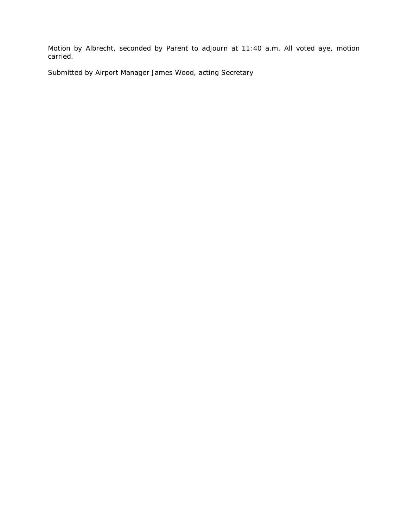Motion by Albrecht, seconded by Parent to adjourn at 11:40 a.m. All voted aye, motion carried.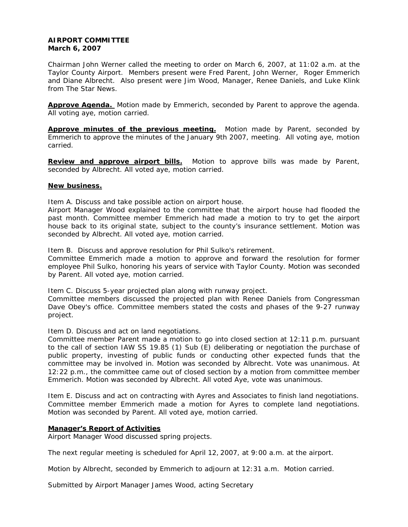## **AIRPORT COMMITTEE March 6, 2007**

Chairman John Werner called the meeting to order on March 6, 2007, at 11:02 a.m. at the Taylor County Airport. Members present were Fred Parent, John Werner, Roger Emmerich and Diane Albrecht. Also present were Jim Wood, Manager, Renee Daniels, and Luke Klink from The Star News.

**Approve Agenda.** Motion made by Emmerich, seconded by Parent to approve the agenda. All voting aye, motion carried.

**Approve minutes of the previous meeting.** Motion made by Parent, seconded by Emmerich to approve the minutes of the January 9th 2007, meeting. All voting aye, motion carried.

**Review and approve airport bills.** Motion to approve bills was made by Parent, seconded by Albrecht. All voted aye, motion carried.

## **New business.**

Item A. Discuss and take possible action on airport house.

Airport Manager Wood explained to the committee that the airport house had flooded the past month. Committee member Emmerich had made a motion to try to get the airport house back to its original state, subject to the county's insurance settlement. Motion was seconded by Albrecht. All voted aye, motion carried.

Item B. Discuss and approve resolution for Phil Sulko's retirement.

Committee Emmerich made a motion to approve and forward the resolution for former employee Phil Sulko, honoring his years of service with Taylor County. Motion was seconded by Parent. All voted aye, motion carried.

Item C. Discuss 5-year projected plan along with runway project.

Committee members discussed the projected plan with Renee Daniels from Congressman Dave Obey's office. Committee members stated the costs and phases of the 9-27 runway project.

Item D. Discuss and act on land negotiations.

Committee member Parent made a motion to go into closed section at 12:11 p.m. pursuant to the call of section IAW SS 19.85 (1) Sub (E) deliberating or negotiation the purchase of public property, investing of public funds or conducting other expected funds that the committee may be involved in. Motion was seconded by Albrecht. Vote was unanimous. At 12:22 p.m., the committee came out of closed section by a motion from committee member Emmerich. Motion was seconded by Albrecht. All voted Aye, vote was unanimous.

Item E. Discuss and act on contracting with Ayres and Associates to finish land negotiations. Committee member Emmerich made a motion for Ayres to complete land negotiations. Motion was seconded by Parent. All voted aye, motion carried.

# **Manager's Report of Activities**

Airport Manager Wood discussed spring projects.

The next regular meeting is scheduled for April 12, 2007, at 9:00 a.m. at the airport.

Motion by Albrecht, seconded by Emmerich to adjourn at 12:31 a.m. Motion carried.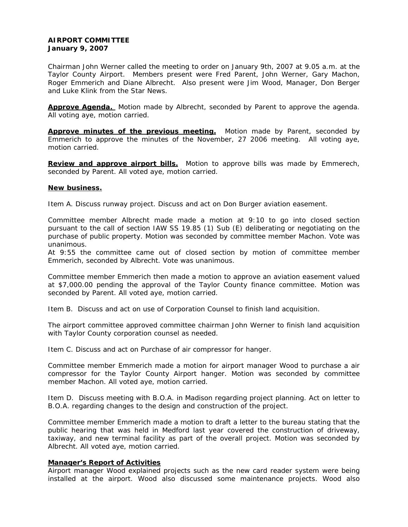# **AIRPORT COMMITTEE January 9, 2007**

Chairman John Werner called the meeting to order on January 9th, 2007 at 9.05 a.m. at the Taylor County Airport. Members present were Fred Parent, John Werner, Gary Machon, Roger Emmerich and Diane Albrecht. Also present were Jim Wood, Manager, Don Berger and Luke Klink from the Star News.

**Approve Agenda.** Motion made by Albrecht, seconded by Parent to approve the agenda. All voting aye, motion carried.

Approve minutes of the previous meeting. Motion made by Parent, seconded by Emmerich to approve the minutes of the November, 27 2006 meeting. All voting aye, motion carried.

**Review and approve airport bills.** Motion to approve bills was made by Emmerech, seconded by Parent. All voted aye, motion carried.

## **New business.**

Item A. Discuss runway project. Discuss and act on Don Burger aviation easement.

Committee member Albrecht made made a motion at 9:10 to go into closed section pursuant to the call of section IAW SS 19.85 (1) Sub (E) deliberating or negotiating on the purchase of public property. Motion was seconded by committee member Machon. Vote was unanimous.

At 9:55 the committee came out of closed section by motion of committee member Emmerich, seconded by Albrecht. Vote was unanimous.

Committee member Emmerich then made a motion to approve an aviation easement valued at \$7,000.00 pending the approval of the Taylor County finance committee. Motion was seconded by Parent. All voted aye, motion carried.

Item B. Discuss and act on use of Corporation Counsel to finish land acquisition.

The airport committee approved committee chairman John Werner to finish land acquisition with Taylor County corporation counsel as needed.

Item C. Discuss and act on Purchase of air compressor for hanger.

Committee member Emmerich made a motion for airport manager Wood to purchase a air compressor for the Taylor County Airport hanger. Motion was seconded by committee member Machon. All voted aye, motion carried.

Item D. Discuss meeting with B.O.A. in Madison regarding project planning. Act on letter to B.O.A. regarding changes to the design and construction of the project.

Committee member Emmerich made a motion to draft a letter to the bureau stating that the public hearing that was held in Medford last year covered the construction of driveway, taxiway, and new terminal facility as part of the overall project. Motion was seconded by Albrecht. All voted aye, motion carried.

## **Manager's Report of Activities**

Airport manager Wood explained projects such as the new card reader system were being installed at the airport. Wood also discussed some maintenance projects. Wood also